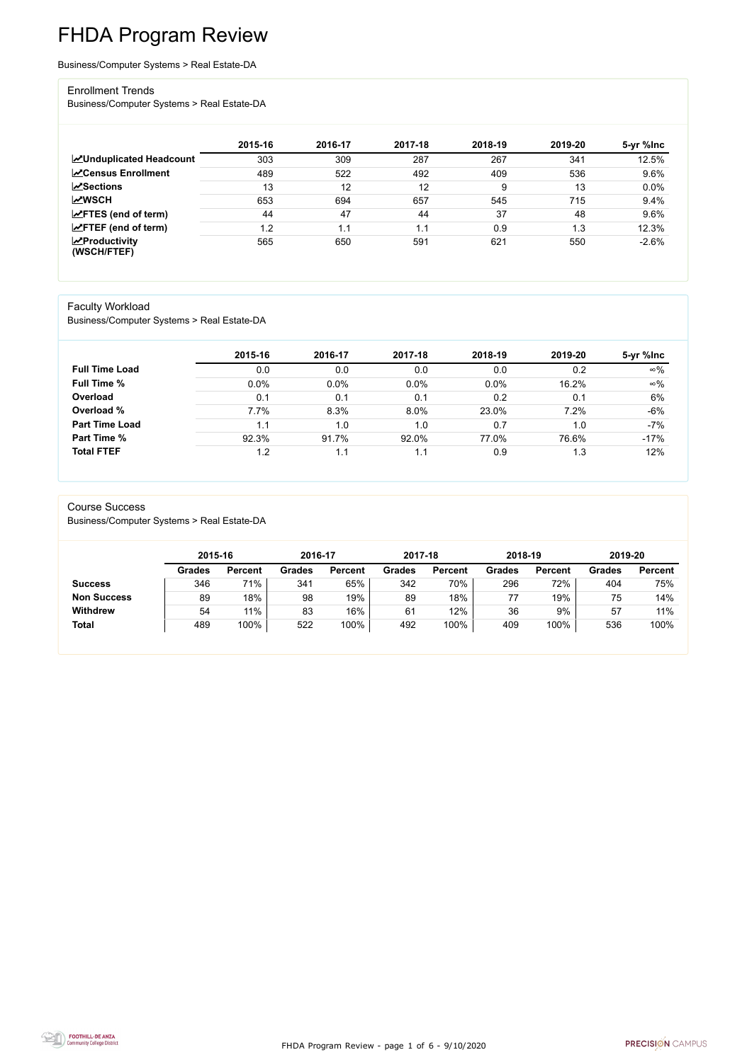FHDA Program Review - page 1 of 6 - 9/10/2020



# FHDA Program Review

Business/Computer Systems > Real Estate-DA

#### Enrollment Trends

Business/Computer Systems > Real Estate-DA

|                                    | 2015-16 | 2016-17 | 2017-18 | 2018-19 | 2019-20 | 5-yr %lnc |
|------------------------------------|---------|---------|---------|---------|---------|-----------|
| <b>ZUnduplicated Headcount</b>     | 303     | 309     | 287     | 267     | 341     | 12.5%     |
| <b>ZCensus Enrollment</b>          | 489     | 522     | 492     | 409     | 536     | 9.6%      |
| <b>∠Sections</b>                   | 13      | 12      | 12      | 9       | 13      | 0.0%      |
| <b>MWSCH</b>                       | 653     | 694     | 657     | 545     | 715     | 9.4%      |
| $\angle$ FTES (end of term)        | 44      | 47      | 44      | 37      | 48      | 9.6%      |
| $\angle$ FTEF (end of term)        | 1.2     | l.1     | 1.1     | 0.9     | 1.3     | 12.3%     |
| $\chi$ Productivity<br>(WSCH/FTEF) | 565     | 650     | 591     | 621     | 550     | $-2.6%$   |

#### Faculty Workload

Business/Computer Systems > Real Estate-DA

|                       | 2015-16 | 2016-17 | 2017-18 | 2018-19 | 2019-20 | 5-yr %lnc  |
|-----------------------|---------|---------|---------|---------|---------|------------|
| <b>Full Time Load</b> | 0.0     | 0.0     | 0.0     | 0.0     | 0.2     | $\infty\%$ |
| <b>Full Time %</b>    | 0.0%    | 0.0%    | 0.0%    | 0.0%    | 16.2%   | $\infty\%$ |
| Overload              | 0.1     | 0.1     | 0.1     | 0.2     | 0.1     | 6%         |
| Overload %            | 7.7%    | 8.3%    | 8.0%    | 23.0%   | 7.2%    | $-6%$      |
| <b>Part Time Load</b> | 1.1     | 1.0     | 1.0     | 0.7     | 1.0     | $-7%$      |
| <b>Part Time %</b>    | 92.3%   | 91.7%   | 92.0%   | 77.0%   | 76.6%   | $-17%$     |
| <b>Total FTEF</b>     | 1.2     |         | 1.1     | 0.9     | 1.3     | 12%        |

#### Course Success

Business/Computer Systems > Real Estate-DA

|                    |               | 2015-16        |               | 2016-17        | 2017-18       |                | 2018-19       |                | 2019-20       |                |
|--------------------|---------------|----------------|---------------|----------------|---------------|----------------|---------------|----------------|---------------|----------------|
|                    | <b>Grades</b> | <b>Percent</b> | <b>Grades</b> | <b>Percent</b> | <b>Grades</b> | <b>Percent</b> | <b>Grades</b> | <b>Percent</b> | <b>Grades</b> | <b>Percent</b> |
| <b>Success</b>     | 346           | 71%            | 341           | 65%            | 342           | 70%            | 296           | 72%            | 404           | 75%            |
| <b>Non Success</b> | 89            | 18%            | 98            | 19%            | 89            | 18%            |               | 19%            | 75            | 14%            |
| <b>Withdrew</b>    | 54            | 11%            | 83            | 16%            | 61            | 12%            | 36            | 9%             | 57            | 11%            |
| <b>Total</b>       | 489           | 100%           | 522           | 100%           | 492           | 100%           | 409           | 100%           | 536           | 100%           |

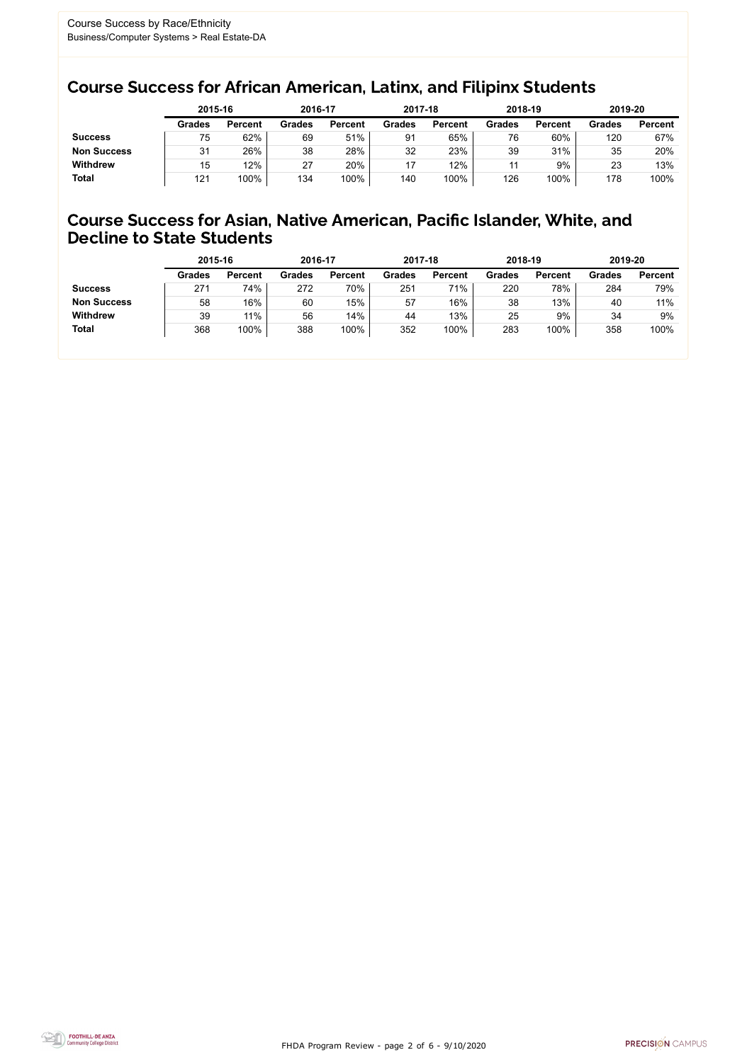FHDA Program Review - page 2 of 6 - 9/10/2020



### Course Success for African American, Latinx, and Filipinx Students

### Course Success for Asian, Native American, Pacific Islander, White, and Decline to State Students

|                    | 2015-16       |                | 2016-17       |                | 2017-18       |                | 2018-19       |                | 2019-20       |                |
|--------------------|---------------|----------------|---------------|----------------|---------------|----------------|---------------|----------------|---------------|----------------|
|                    | <b>Grades</b> | <b>Percent</b> | <b>Grades</b> | <b>Percent</b> | <b>Grades</b> | <b>Percent</b> | <b>Grades</b> | <b>Percent</b> | <b>Grades</b> | <b>Percent</b> |
| <b>Success</b>     | 75            | 62%            | 69            | 51%            | 91            | 65%            | 76            | 60%            | 120           | 67%            |
| <b>Non Success</b> | 31            | 26%            | 38            | 28%            | 32            | 23%            | 39            | 31%            | 35            | 20%            |
| <b>Withdrew</b>    | 15            | 12%            | 27            | 20%            | 17            | 12%            |               | 9%             | 23            | 13%            |
| Total              | 121           | 100%           | 134           | 100%           | 140           | 100%           | 126           | 100%           | 178           | 100%           |

|                    | 2015-16       |                | 2016-17       |                | 2017-18       |                | 2018-19       |                | 2019-20       |                |
|--------------------|---------------|----------------|---------------|----------------|---------------|----------------|---------------|----------------|---------------|----------------|
|                    | <b>Grades</b> | <b>Percent</b> | <b>Grades</b> | <b>Percent</b> | <b>Grades</b> | <b>Percent</b> | <b>Grades</b> | <b>Percent</b> | <b>Grades</b> | <b>Percent</b> |
| <b>Success</b>     | 271           | 74%            | 272           | 70%            | 251           | 71%            | 220           | 78%            | 284           | 79%            |
| <b>Non Success</b> | 58            | 16%            | 60            | 15%            | 57            | 16%            | 38            | 13%            | 40            | 11%            |
| <b>Withdrew</b>    | 39            | 11%            | 56            | $14\%$         | 44            | 13%            | 25            | 9%             | 34            | 9%             |
| <b>Total</b>       | 368           | 100%           | 388           | 100%           | 352           | 100%           | 283           | 100%           | 358           | 100%           |
|                    |               |                |               |                |               |                |               |                |               |                |

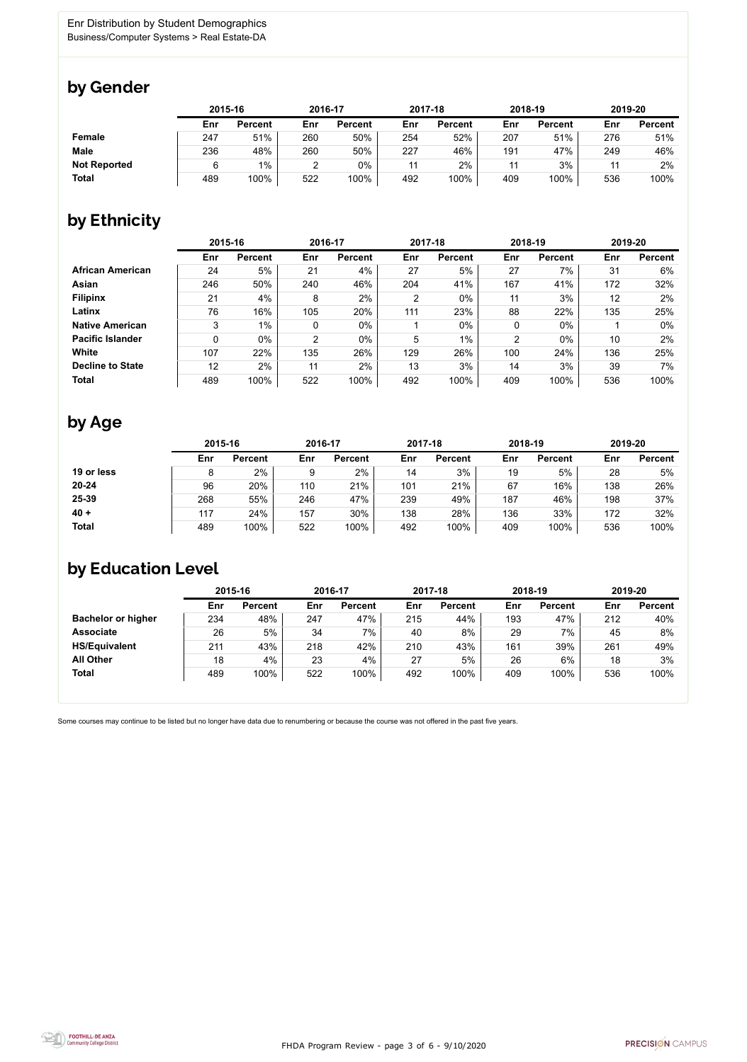

Some courses may continue to be listed but no longer have data due to renumbering or because the course was not offered in the past five years.



### by Gender

|                     | 2015-16 |                |     | 2016-17        |     | 2017-18        | 2018-19 |                | 2019-20 |                |
|---------------------|---------|----------------|-----|----------------|-----|----------------|---------|----------------|---------|----------------|
|                     | Enr     | <b>Percent</b> | Enr | <b>Percent</b> | Enr | <b>Percent</b> | Enr     | <b>Percent</b> | Enr     | <b>Percent</b> |
| <b>Female</b>       | 247     | 51%            | 260 | 50%            | 254 | 52%            | 207     | 51%            | 276     | 51%            |
| <b>Male</b>         | 236     | 48%            | 260 | 50%            | 227 | 46%            | 191     | 47%            | 249     | 46%            |
| <b>Not Reported</b> |         | $1\%$          |     | $0\%$          | 11  | 2%             | 11      | 3%             | 44      | $2\%$          |
| <b>Total</b>        | 489     | 100%           | 522 | 100%           | 492 | 100%           | 409     | 100%           | 536     | 100%           |

## by Ethnicity

|                         | 2015-16 |                |     | 2016-17        |     | 2017-18        |                | 2018-19        |     | 2019-20        |
|-------------------------|---------|----------------|-----|----------------|-----|----------------|----------------|----------------|-----|----------------|
|                         | Enr     | <b>Percent</b> | Enr | <b>Percent</b> | Enr | <b>Percent</b> | Enr            | <b>Percent</b> | Enr | <b>Percent</b> |
| <b>African American</b> | 24      | 5%             | 21  | 4%             | 27  | 5%             | 27             | 7%             | 31  | 6%             |
| <b>Asian</b>            | 246     | 50%            | 240 | 46%            | 204 | 41%            | 167            | 41%            | 172 | 32%            |
| <b>Filipinx</b>         | 21      | 4%             | 8   | 2%             | 2   | $0\%$          | 11             | 3%             | 12  | 2%             |
| Latinx                  | 76      | 16%            | 105 | 20%            | 111 | 23%            | 88             | 22%            | 135 | 25%            |
| <b>Native American</b>  | 3       | $1\%$          | 0   | $0\%$          |     | $0\%$          | 0              | $0\%$          |     | $0\%$          |
| <b>Pacific Islander</b> | 0       | $0\%$          | 2   | $0\%$          | 5   | 1%             | $\overline{2}$ | $0\%$          | 10  | 2%             |
| <b>White</b>            | 107     | 22%            | 135 | 26%            | 129 | 26%            | 100            | 24%            | 136 | 25%            |
| <b>Decline to State</b> | 12      | 2%             | 11  | 2%             | 13  | 3%             | 14             | 3%             | 39  | $7\%$          |
| <b>Total</b>            | 489     | 100%           | 522 | 100%           | 492 | 100%           | 409            | 100%           | 536 | 100%           |

### by Age

|              | 2015-16 |                |     | 2016-17        |     | 2017-18        |     | 2018-19        | 2019-20 |                |
|--------------|---------|----------------|-----|----------------|-----|----------------|-----|----------------|---------|----------------|
|              | Enr     | <b>Percent</b> | Enr | <b>Percent</b> | Enr | <b>Percent</b> | Enr | <b>Percent</b> | Enr     | <b>Percent</b> |
| 19 or less   |         | 2%             |     | 2%             | 14  | 3%             | 19  | 5%             | 28      | 5%             |
| $20 - 24$    | 96      | 20%            | 110 | 21%            | 101 | 21%            | 67  | 16%            | 138     | 26%            |
| 25-39        | 268     | 55%            | 246 | 47%            | 239 | 49%            | 187 | 46%            | 198     | 37%            |
| $40 +$       | 117     | 24%            | 157 | 30%            | 138 | 28%            | 136 | 33%            | 172     | 32%            |
| <b>Total</b> | 489     | 100%           | 522 | 100%           | 492 | 100%           | 409 | 100%           | 536     | 100%           |

## by Education Level

|                           | 2015-16 |                |     | 2016-17        |     | 2017-18        |     | 2018-19        | 2019-20 |                |
|---------------------------|---------|----------------|-----|----------------|-----|----------------|-----|----------------|---------|----------------|
|                           | Enr     | <b>Percent</b> | Enr | <b>Percent</b> | Enr | <b>Percent</b> | Enr | <b>Percent</b> | Enr     | <b>Percent</b> |
| <b>Bachelor or higher</b> | 234     | 48%            | 247 | 47%            | 215 | 44%            | 193 | 47%            | 212     | 40%            |
| <b>Associate</b>          | 26      | 5%             | 34  | 7%             | 40  | 8%             | 29  | 7%             | 45      | 8%             |
| <b>HS/Equivalent</b>      | 211     | 43%            | 218 | 42%            | 210 | 43%            | 161 | 39%            | 261     | 49%            |
| <b>All Other</b>          | 18      | 4%             | 23  | 4%             | 27  | 5%             | 26  | 6%             | 18      | 3%             |
| <b>Total</b>              | 489     | 100%           | 522 | 100%           | 492 | 100%           | 409 | 100%           | 536     | 100%           |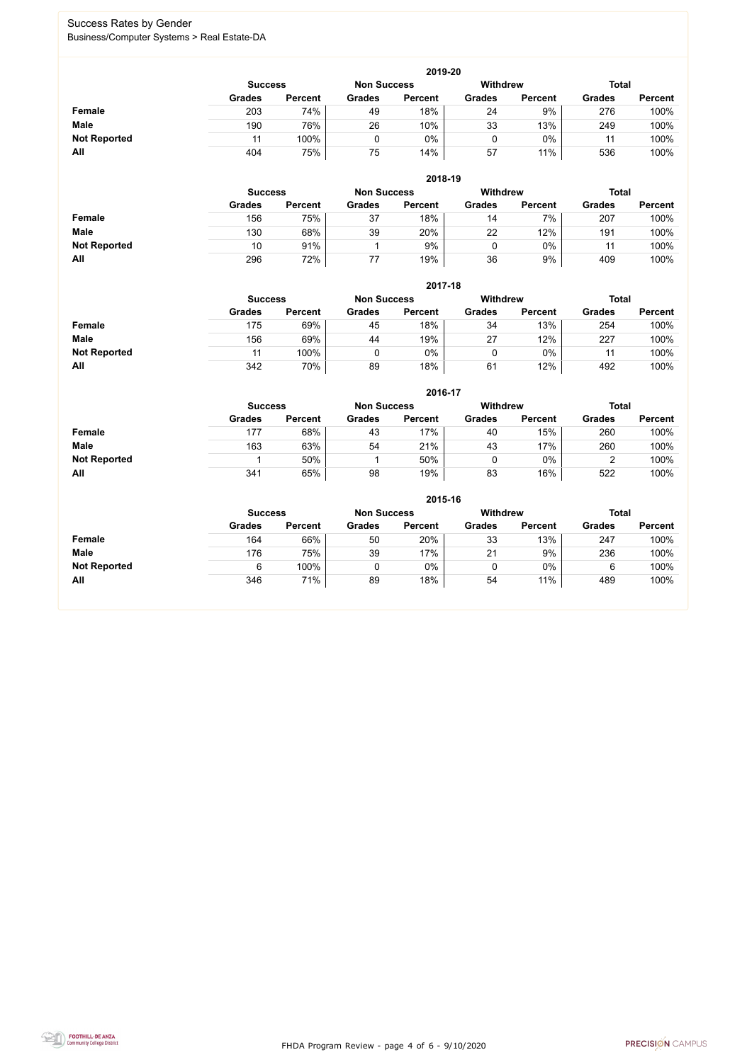FHDA Program Review - page 4 of 6 - 9/10/2020



### Success Rates by Gender Business/Computer Systems > Real Estate-DA

|                     | 2019-20                                                                 |                |               |                |               |                |               |                |  |  |  |  |  |
|---------------------|-------------------------------------------------------------------------|----------------|---------------|----------------|---------------|----------------|---------------|----------------|--|--|--|--|--|
|                     | <b>Total</b><br><b>Withdrew</b><br><b>Non Success</b><br><b>Success</b> |                |               |                |               |                |               |                |  |  |  |  |  |
|                     | <b>Grades</b>                                                           | <b>Percent</b> | <b>Grades</b> | <b>Percent</b> | <b>Grades</b> | <b>Percent</b> | <b>Grades</b> | <b>Percent</b> |  |  |  |  |  |
| <b>Female</b>       | 203                                                                     | 74%            | 49            | 18%            | 24            | 9%             | 276           | 100%           |  |  |  |  |  |
| <b>Male</b>         | 190                                                                     | 76%            | 26            | 10%            | 33            | 13%            | 249           | 100%           |  |  |  |  |  |
| <b>Not Reported</b> | 11                                                                      | 100%           |               | $0\%$          |               | $0\%$          | 11            | 100%           |  |  |  |  |  |
| All                 | 404                                                                     | 75%            | 75            | 14%            | 57            | 11%            | 536           | 100%           |  |  |  |  |  |

|                     |               | 2018-19                              |               |                |               |                 |               |                |  |  |  |  |  |  |
|---------------------|---------------|--------------------------------------|---------------|----------------|---------------|-----------------|---------------|----------------|--|--|--|--|--|--|
|                     |               | <b>Non Success</b><br><b>Success</b> |               |                |               | <b>Withdrew</b> | <b>Total</b>  |                |  |  |  |  |  |  |
|                     | <b>Grades</b> | <b>Percent</b>                       | <b>Grades</b> | <b>Percent</b> | <b>Grades</b> | <b>Percent</b>  | <b>Grades</b> | <b>Percent</b> |  |  |  |  |  |  |
| <b>Female</b>       | 156           | 75%                                  | 37            | 18%            | 14            | 7%              | 207           | 100%           |  |  |  |  |  |  |
| <b>Male</b>         | 130           | 68%                                  | 39            | 20%            | 22            | 12%             | 191           | 100%           |  |  |  |  |  |  |
| <b>Not Reported</b> | 10            | 91%                                  |               | 9%             | U             | $0\%$           | 11            | 100%           |  |  |  |  |  |  |
| All                 | 296           | 72%                                  | 77            | 19%            | 36            | 9%              | 409           | 100%           |  |  |  |  |  |  |

|                     | 2017-18       |                                                         |               |                |               |                |               |                |  |  |  |  |  |
|---------------------|---------------|---------------------------------------------------------|---------------|----------------|---------------|----------------|---------------|----------------|--|--|--|--|--|
|                     |               | <b>Withdrew</b><br><b>Non Success</b><br><b>Success</b> |               |                |               |                |               |                |  |  |  |  |  |
|                     | <b>Grades</b> | <b>Percent</b>                                          | <b>Grades</b> | <b>Percent</b> | <b>Grades</b> | <b>Percent</b> | <b>Grades</b> | <b>Percent</b> |  |  |  |  |  |
| <b>Female</b>       | 175           | 69%                                                     | 45            | 18%            | 34            | 13%            | 254           | 100%           |  |  |  |  |  |
| <b>Male</b>         | 156           | 69%                                                     | 44            | 19%            | 27            | 12%            | 227           | 100%           |  |  |  |  |  |
| <b>Not Reported</b> | 11            | 100%                                                    | 0             | 0%             |               | $0\%$          | 11            | 100%           |  |  |  |  |  |
| All                 | 342           | 70%                                                     | 89            | 18%            | 61            | 12%            | 492           | 100%           |  |  |  |  |  |

|                     |               | 2016-17                              |               |                |               |                |               |                |  |  |
|---------------------|---------------|--------------------------------------|---------------|----------------|---------------|----------------|---------------|----------------|--|--|
|                     |               | <b>Non Success</b><br><b>Success</b> |               |                |               |                | <b>Total</b>  |                |  |  |
|                     | <b>Grades</b> | <b>Percent</b>                       | <b>Grades</b> | <b>Percent</b> | <b>Grades</b> | <b>Percent</b> | <b>Grades</b> | <b>Percent</b> |  |  |
| Female              | 177           | 68%                                  | 43            | 17%            | 40            | 15%            | 260           | 100%           |  |  |
| <b>Male</b>         | 163           | 63%                                  | 54            | 21%            | 43            | 17%            | 260           | 100%           |  |  |
| <b>Not Reported</b> |               | 50%                                  |               | 50%            | 0             | $0\%$          |               | 100%           |  |  |
| <b>All</b>          | 341           | 65%                                  | 98            | 19%            | 83            | 16%            | 522           | 100%           |  |  |

|                     | 2015-16        |                |                    |                |               |                |               |                |
|---------------------|----------------|----------------|--------------------|----------------|---------------|----------------|---------------|----------------|
|                     | <b>Success</b> |                | <b>Non Success</b> |                | Withdrew      |                | <b>Total</b>  |                |
|                     | <b>Grades</b>  | <b>Percent</b> | <b>Grades</b>      | <b>Percent</b> | <b>Grades</b> | <b>Percent</b> | <b>Grades</b> | <b>Percent</b> |
| Female              | 164            | 66%            | 50                 | 20%            | 33            | 13%            | 247           | 100%           |
| <b>Male</b>         | 176            | 75%            | 39                 | 17%            | 21            | 9%             | 236           | 100%           |
| <b>Not Reported</b> | 6              | 100%           | 0                  | $0\%$          | ν             | $0\%$          | 6             | 100%           |
| All                 | 346            | 71%            | 89                 | 18%            | 54            | 11%            | 489           | 100%           |

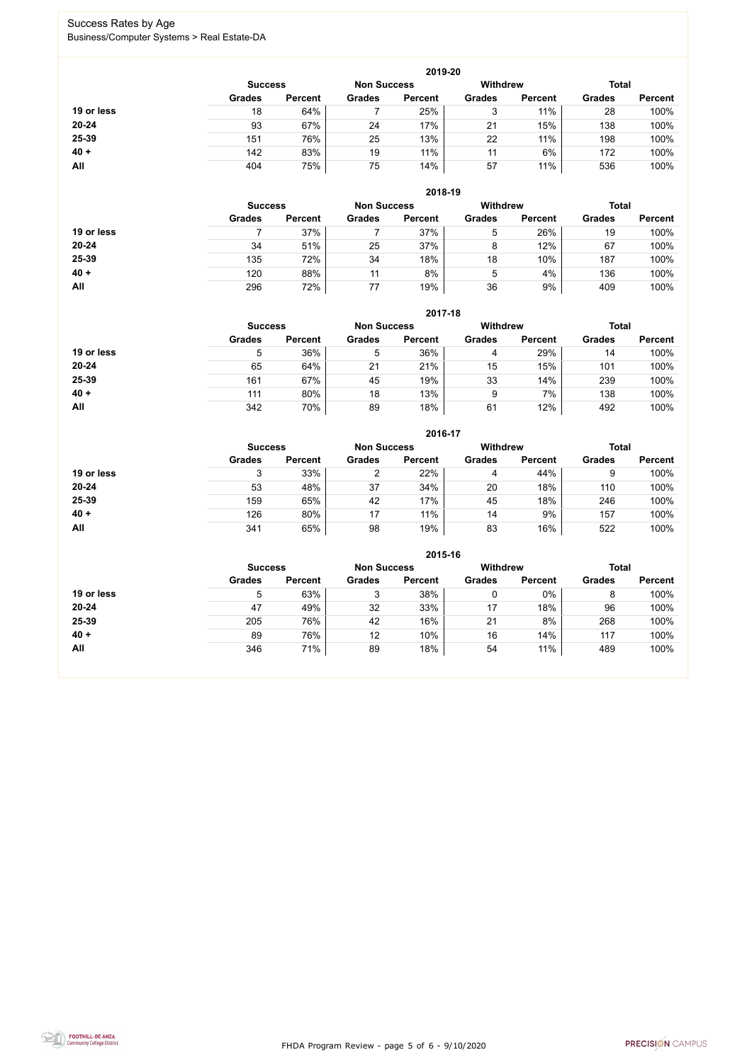FHDA Program Review - page 5 of 6 - 9/10/2020



### Success Rates by Age Business/Computer Systems > Real Estate-DA

|            |                |                |                    | 2019-20         |               |                |               |                |
|------------|----------------|----------------|--------------------|-----------------|---------------|----------------|---------------|----------------|
|            | <b>Success</b> |                | <b>Non Success</b> | <b>Withdrew</b> |               |                | <b>Total</b>  |                |
|            | <b>Grades</b>  | <b>Percent</b> | <b>Grades</b>      | <b>Percent</b>  | <b>Grades</b> | <b>Percent</b> | <b>Grades</b> | <b>Percent</b> |
| 19 or less | 18             | 64%            |                    | 25%             | 3             | 11%            | 28            | 100%           |
| $20 - 24$  | 93             | 67%            | 24                 | 17%             | 21            | 15%            | 138           | 100%           |
| 25-39      | 151            | 76%            | 25                 | 13%             | 22            | 11%            | 198           | 100%           |
| $40 +$     | 142            | 83%            | 19                 | 11%             | 11            | 6%             | 172           | 100%           |
| All        | 404            | 75%            | 75                 | 14%             | 57            | 11%            | 536           | 100%           |

|            | 2018-19        |                    |               |                 |               |                |               |                |  |
|------------|----------------|--------------------|---------------|-----------------|---------------|----------------|---------------|----------------|--|
|            | <b>Success</b> | <b>Non Success</b> |               | <b>Withdrew</b> |               | <b>Total</b>   |               |                |  |
|            | <b>Grades</b>  | <b>Percent</b>     | <b>Grades</b> | <b>Percent</b>  | <b>Grades</b> | <b>Percent</b> | <b>Grades</b> | <b>Percent</b> |  |
| 19 or less |                | 37%                |               | 37%             | 5             | 26%            | 19            | 100%           |  |
| $20 - 24$  | 34             | 51%                | 25            | 37%             | 8             | 12%            | 67            | 100%           |  |
| 25-39      | 135            | 72%                | 34            | 18%             | 18            | 10%            | 187           | 100%           |  |
| $40 +$     | 120            | 88%                | 11            | 8%              | 5             | 4%             | 136           | 100%           |  |
| All        | 296            | 72%                | 77            | 19%             | 36            | 9%             | 409           | 100%           |  |

|            | 2017-18                              |                |               |                |                 |                |               |                |  |
|------------|--------------------------------------|----------------|---------------|----------------|-----------------|----------------|---------------|----------------|--|
|            | <b>Non Success</b><br><b>Success</b> |                |               |                | <b>Withdrew</b> |                | <b>Total</b>  |                |  |
|            | <b>Grades</b>                        | <b>Percent</b> | <b>Grades</b> | <b>Percent</b> | <b>Grades</b>   | <b>Percent</b> | <b>Grades</b> | <b>Percent</b> |  |
| 19 or less | 5                                    | 36%            | 5             | 36%            | 4               | 29%            | 14            | 100%           |  |
| $20 - 24$  | 65                                   | 64%            | 21            | 21%            | 15              | 15%            | 101           | 100%           |  |
| 25-39      | 161                                  | 67%            | 45            | 19%            | 33              | 14%            | 239           | 100%           |  |
| $40 +$     | 111                                  | 80%            | 18            | 13%            | 9               | 7%             | 138           | 100%           |  |
| All        | 342                                  | 70%            | 89            | 18%            | 61              | 12%            | 492           | 100%           |  |

|            |                                      |                |               | 2016-17        |                 |                |               |                |
|------------|--------------------------------------|----------------|---------------|----------------|-----------------|----------------|---------------|----------------|
|            | <b>Non Success</b><br><b>Success</b> |                |               |                | <b>Withdrew</b> |                | <b>Total</b>  |                |
|            | <b>Grades</b>                        | <b>Percent</b> | <b>Grades</b> | <b>Percent</b> | <b>Grades</b>   | <b>Percent</b> | <b>Grades</b> | <b>Percent</b> |
| 19 or less | 3                                    | 33%            | ⌒             | 22%            | 4               | 44%            | 9             | 100%           |
| $20 - 24$  | 53                                   | 48%            | 37            | 34%            | 20              | 18%            | 110           | 100%           |
| 25-39      | 159                                  | 65%            | 42            | 17%            | 45              | 18%            | 246           | 100%           |
| $40 +$     | 126                                  | 80%            | 17            | 11%            | 14              | 9%             | 157           | 100%           |
| All        | 341                                  | 65%            | 98            | 19%            | 83              | 16%            | 522           | 100%           |

|            |                                      |                |               | 2015-16        |                 |                |               |                |
|------------|--------------------------------------|----------------|---------------|----------------|-----------------|----------------|---------------|----------------|
|            | <b>Non Success</b><br><b>Success</b> |                |               |                | <b>Withdrew</b> |                | <b>Total</b>  |                |
|            | <b>Grades</b>                        | <b>Percent</b> | <b>Grades</b> | <b>Percent</b> | <b>Grades</b>   | <b>Percent</b> | <b>Grades</b> | <b>Percent</b> |
| 19 or less | 5                                    | 63%            | ◠<br>J        | 38%            |                 | 0%             | 8             | 100%           |
| 20-24      | 47                                   | 49%            | 32            | 33%            | 17              | 18%            | 96            | 100%           |
| 25-39      | 205                                  | 76%            | 42            | 16%            | 21              | 8%             | 268           | 100%           |
| $40 +$     | 89                                   | 76%            | 12            | 10%            | 16              | 14%            | 117           | 100%           |
| All        | 346                                  | 71%            | 89            | 18%            | 54              | 11%            | 489           | 100%           |